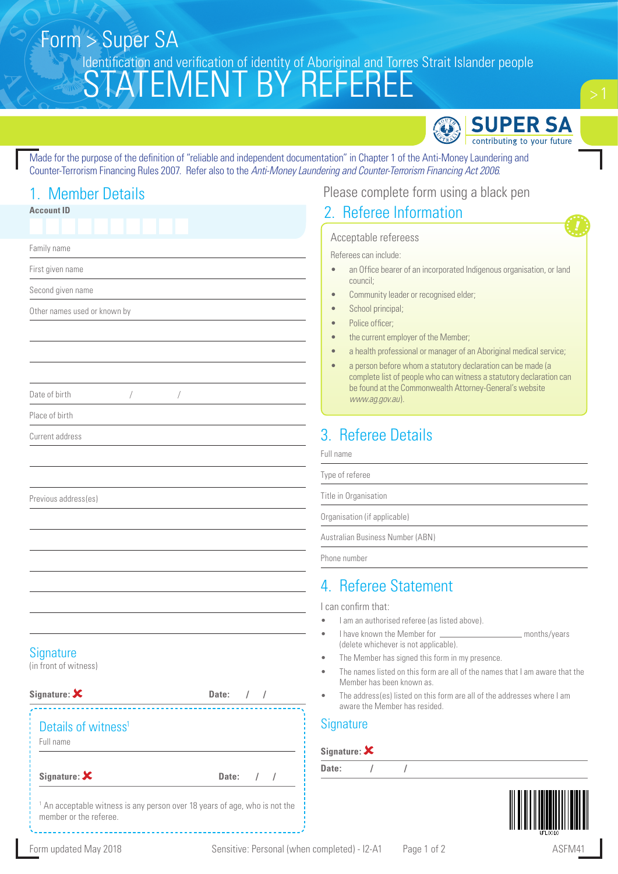# STATEMENT BY REFEREE Form > Super SA Identification and verification of identity of Aboriginal and Torres Strait Islander people



Made for the purpose of the definition of "reliable and independent documentation" in Chapter 1 of the Anti-Money Laundering and Counter-Terrorism Financing Rules 2007. Refer also to the *Anti-Money Laundering and Counter-Terrorism Financing Act 2006*.

## 1. Member Details

| <b>Account ID</b>                                                                                               |                                   | 2. Ref                          |
|-----------------------------------------------------------------------------------------------------------------|-----------------------------------|---------------------------------|
|                                                                                                                 |                                   | Accepta                         |
| Family name                                                                                                     |                                   | Referees o                      |
| First given name                                                                                                |                                   | an <sub>0</sub>                 |
| Second given name                                                                                               |                                   | coun<br>Com                     |
| Other names used or known by                                                                                    |                                   | Scho                            |
|                                                                                                                 |                                   | Polic<br>the c                  |
|                                                                                                                 |                                   | a he                            |
|                                                                                                                 |                                   | a per<br>com                    |
| Date of birth<br>Т                                                                                              | Т                                 | be fo<br><b>WW</b>              |
| Place of birth                                                                                                  |                                   |                                 |
| Current address                                                                                                 |                                   | 3. Refe                         |
|                                                                                                                 |                                   | Full name                       |
|                                                                                                                 |                                   | Type of refere                  |
| Previous address(es)                                                                                            |                                   | Title in Organ                  |
|                                                                                                                 |                                   | Organisation                    |
|                                                                                                                 |                                   | Australian Bu                   |
|                                                                                                                 |                                   | Phone numbe                     |
|                                                                                                                 |                                   | 4. Refe                         |
|                                                                                                                 |                                   | I can confirr                   |
|                                                                                                                 |                                   | I am an<br>I have k             |
|                                                                                                                 |                                   | (delete                         |
| Signature<br>(in front of witness)                                                                              |                                   | The Me<br>The nar               |
|                                                                                                                 |                                   | Membe                           |
| Signature: $\bm{x}$                                                                                             | Date:<br>$\sqrt{2}$<br>$\sqrt{2}$ | The add<br>$\bullet$<br>aware t |
| Details of witness <sup>1</sup>                                                                                 |                                   | <b>Signature</b>                |
| Full name                                                                                                       |                                   | Signature:                      |
| Signature: $\bm{\mathsf{X}}$                                                                                    | Date:<br>$\sqrt{2}$<br>$\prime$   | Date:                           |
| <sup>1</sup> An acceptable witness is any person over 18 years of age, who is not the<br>member or the referee. |                                   |                                 |

#### Please complete form using a black pen

#### **Referee Information**

#### able refereess

can include:

- Iffice bearer of an incorporated Indigenous organisation, or land icil;
- munity leader or recognised elder;
- ool principal;
- e officer;
- current employer of the Member;
- alth professional or manager of an Aboriginal medical service;
- rson before whom a statutory declaration can be made (a plete list of people who can witness a statutory declaration can bund at the Commonwealth Attorney-General's website *www.ag.gov.au*).

# eree Details

Type of referee

isation

(if applicable)

Isiness Number (ABN)

Phone number

### eree Statement

m that:

- authorised referee (as listed above).
	- • I have known the Member for months/years whichever is not applicable).
- ember has signed this form in my presence.
- nes listed on this form are all of the names that I am aware that the er has been known as.
- dress(es) listed on this form are all of the addresses where I am the Member has resided.

#### **Signature**

**Date: / /**